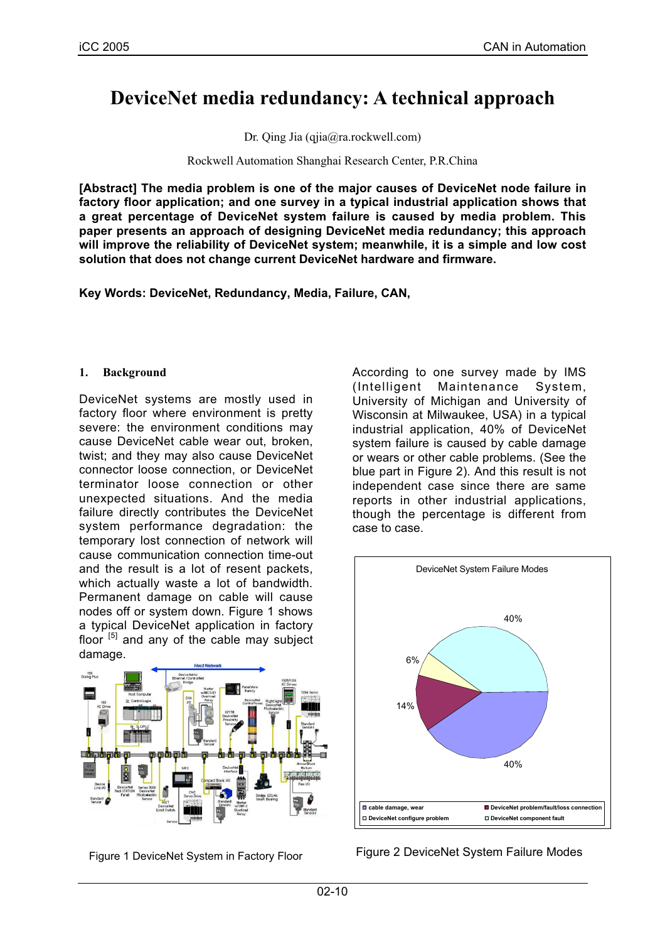# **DeviceNet media redundancy: A technical approach**

Dr. Qing Jia (qjia@ra.rockwell.com)

Rockwell Automation Shanghai Research Center, P.R.China

**[Abstract] The media problem is one of the major causes of DeviceNet node failure in factory floor application; and one survey in a typical industrial application shows that a great percentage of DeviceNet system failure is caused by media problem. This paper presents an approach of designing DeviceNet media redundancy; this approach will improve the reliability of DeviceNet system; meanwhile, it is a simple and low cost solution that does not change current DeviceNet hardware and firmware.**

**Key Words: DeviceNet, Redundancy, Media, Failure, CAN,**

### **1. Background**

DeviceNet systems are mostly used in factory floor where environment is pretty severe: the environment conditions may cause DeviceNet cable wear out, broken, twist; and they may also cause DeviceNet connector loose connection, or DeviceNet terminator loose connection or other unexpected situations. And the media failure directly contributes the DeviceNet system performance degradation: the temporary lost connection of network will cause communication connection time-out and the result is a lot of resent packets, which actually waste a lot of bandwidth. Permanent damage on cable will cause nodes off or system down. Figure 1 shows a typical DeviceNet application in factory floor  $[5]$  and any of the cable may subject damage.



Figure 1 DeviceNet System in Factory Floor

According to one survey made by IMS (Intelligent Maintenance System, University of Michigan and University of Wisconsin at Milwaukee, USA) in a typical industrial application, 40% of DeviceNet system failure is caused by cable damage or wears or other cable problems. (See the blue part in Figure 2). And this result is not independent case since there are same reports in other industrial applications, though the percentage is different from case to case.



Figure 2 DeviceNet System Failure Modes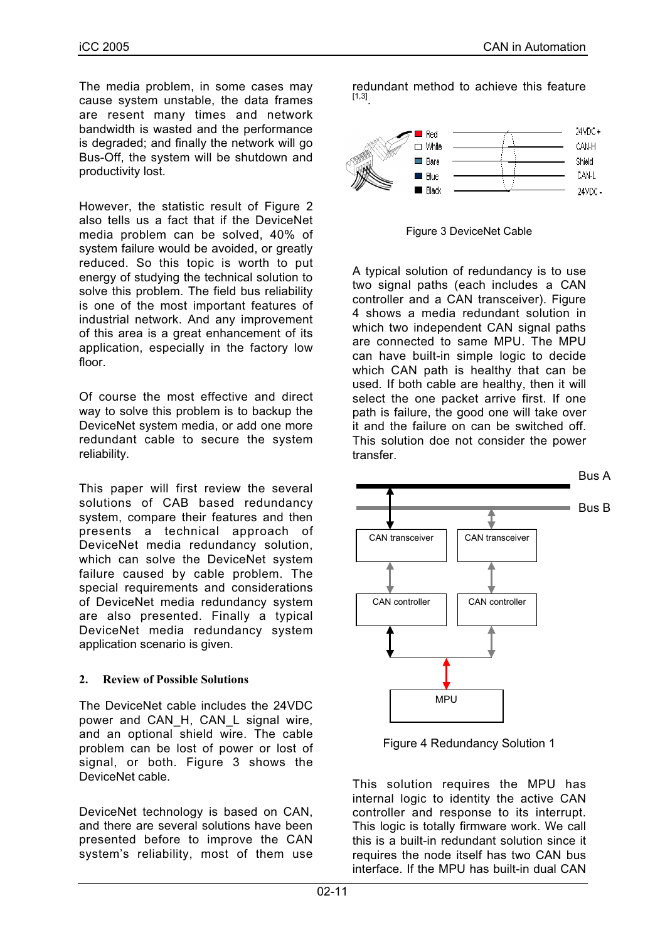The media problem, in some cases may cause system unstable, the data frames are resent many times and network bandwidth is wasted and the performance is degraded; and finally the network will go Bus-Off, the system will be shutdown and productivity lost.

However, the statistic result of Figure 2 also tells us a fact that if the DeviceNet media problem can be solved, 40% of system failure would be avoided, or greatly reduced. So this topic is worth to put energy of studying the technical solution to solve this problem. The field bus reliability is one of the most important features of industrial network. And any improvement of this area is a great enhancement of its application, especially in the factory low floor.

Of course the most effective and direct way to solve this problem is to backup the DeviceNet system media, or add one more redundant cable to secure the system reliability.

This paper will first review the several solutions of CAB based redundancy system, compare their features and then presents a technical approach of DeviceNet media redundancy solution, which can solve the DeviceNet system failure caused by cable problem. The special requirements and considerations of DeviceNet media redundancy system are also presented. Finally a typical DeviceNet media redundancy system application scenario is given.

### **2. Review of Possible Solutions**

The DeviceNet cable includes the 24VDC power and CAN H, CAN L signal wire, and an optional shield wire. The cable problem can be lost of power or lost of signal, or both. Figure 3 shows the DeviceNet cable.

DeviceNet technology is based on CAN, and there are several solutions have been presented before to improve the CAN system's reliability, most of them use redundant method to achieve this feature [1,3].



Figure 3 DeviceNet Cable

A typical solution of redundancy is to use two signal paths (each includes a CAN controller and a CAN transceiver). Figure 4 shows a media redundant solution in which two independent CAN signal paths are connected to same MPU. The MPU can have built-in simple logic to decide which CAN path is healthy that can be used. If both cable are healthy, then it will select the one packet arrive first. If one path is failure, the good one will take over it and the failure on can be switched off. This solution doe not consider the power transfer.



Figure 4 Redundancy Solution 1

This solution requires the MPU has internal logic to identity the active CAN controller and response to its interrupt. This logic is totally firmware work. We call this is a built-in redundant solution since it requires the node itself has two CAN bus interface. If the MPU has built-in dual CAN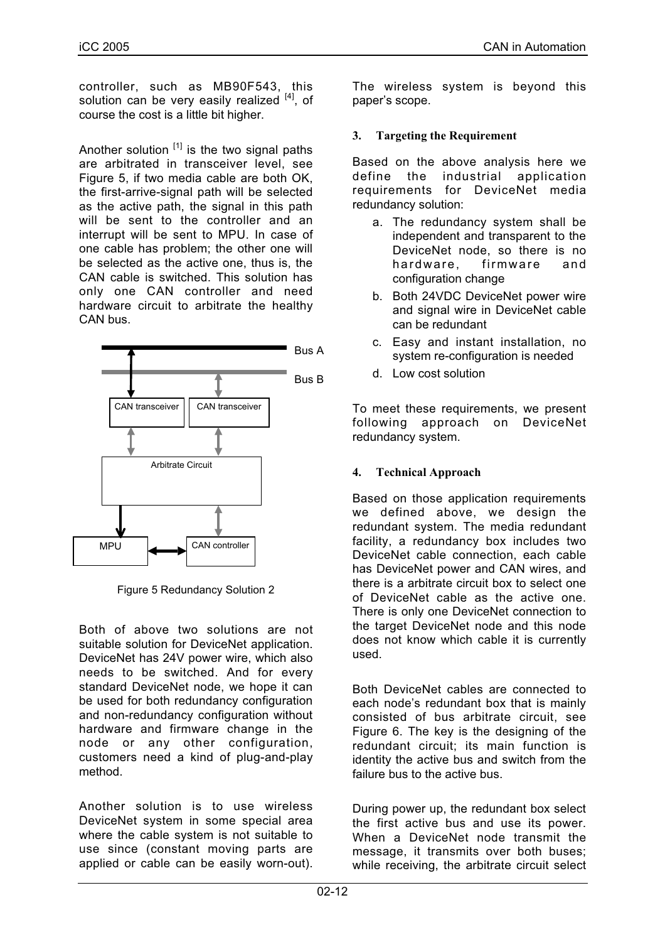controller, such as MB90F543, this solution can be very easily realized  $[4]$ , of course the cost is a little bit higher.

Another solution  $[1]$  is the two signal paths are arbitrated in transceiver level, see Figure 5, if two media cable are both OK, the first-arrive-signal path will be selected as the active path, the signal in this path will be sent to the controller and an interrupt will be sent to MPU. In case of one cable has problem; the other one will be selected as the active one, thus is, the CAN cable is switched. This solution has only one CAN controller and need hardware circuit to arbitrate the healthy CAN bus.



Figure 5 Redundancy Solution 2

Both of above two solutions are not suitable solution for DeviceNet application. DeviceNet has 24V power wire, which also needs to be switched. And for every standard DeviceNet node, we hope it can be used for both redundancy configuration and non-redundancy configuration without hardware and firmware change in the node or any other configuration, customers need a kind of plug-and-play method.

Another solution is to use wireless DeviceNet system in some special area where the cable system is not suitable to use since (constant moving parts are applied or cable can be easily worn-out).

The wireless system is beyond this paper's scope.

# **3. Targeting the Requirement**

Based on the above analysis here we define the industrial application requirements for DeviceNet media redundancy solution:

- a. The redundancy system shall be independent and transparent to the DeviceNet node, so there is no hardware, firmware and configuration change
- b. Both 24VDC DeviceNet power wire and signal wire in DeviceNet cable can be redundant
- c. Easy and instant installation, no system re-configuration is needed
- d. Low cost solution

To meet these requirements, we present following approach on DeviceNet redundancy system.

# **4. Technical Approach**

Based on those application requirements we defined above, we design the redundant system. The media redundant facility, a redundancy box includes two DeviceNet cable connection, each cable has DeviceNet power and CAN wires, and there is a arbitrate circuit box to select one of DeviceNet cable as the active one. There is only one DeviceNet connection to the target DeviceNet node and this node does not know which cable it is currently used.

Both DeviceNet cables are connected to each node's redundant box that is mainly consisted of bus arbitrate circuit, see Figure 6. The key is the designing of the redundant circuit; its main function is identity the active bus and switch from the failure bus to the active bus.

During power up, the redundant box select the first active bus and use its power. When a DeviceNet node transmit the message, it transmits over both buses; while receiving, the arbitrate circuit select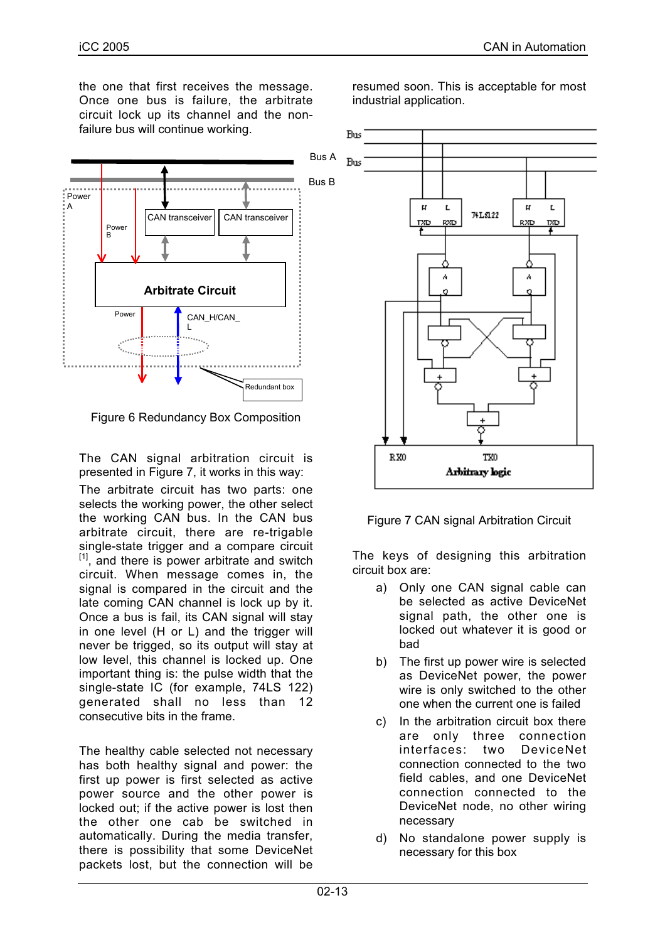the one that first receives the message. Once one bus is failure, the arbitrate circuit lock up its channel and the nonfailure bus will continue working.



Figure 6 Redundancy Box Composition

The CAN signal arbitration circuit is presented in Figure 7, it works in this way:

The arbitrate circuit has two parts: one selects the working power, the other select the working CAN bus. In the CAN bus arbitrate circuit, there are re-trigable single-state trigger and a compare circuit  $[1]$ , and there is power arbitrate and switch circuit. When message comes in, the signal is compared in the circuit and the late coming CAN channel is lock up by it. Once a bus is fail, its CAN signal will stay in one level (H or L) and the trigger will never be trigged, so its output will stay at low level, this channel is locked up. One important thing is: the pulse width that the single-state IC (for example, 74LS 122) generated shall no less than 12 consecutive bits in the frame.

The healthy cable selected not necessary has both healthy signal and power: the first up power is first selected as active power source and the other power is locked out; if the active power is lost then the other one cab be switched in automatically. During the media transfer, there is possibility that some DeviceNet packets lost, but the connection will be

resumed soon. This is acceptable for most industrial application.



Figure 7 CAN signal Arbitration Circuit

The keys of designing this arbitration circuit box are:

- a) Only one CAN signal cable can be selected as active DeviceNet signal path, the other one is locked out whatever it is good or bad
- b) The first up power wire is selected as DeviceNet power, the power wire is only switched to the other one when the current one is failed
- c) In the arbitration circuit box there are only three connection interfaces: two DeviceNet connection connected to the two field cables, and one DeviceNet connection connected to the DeviceNet node, no other wiring necessary
- d) No standalone power supply is necessary for this box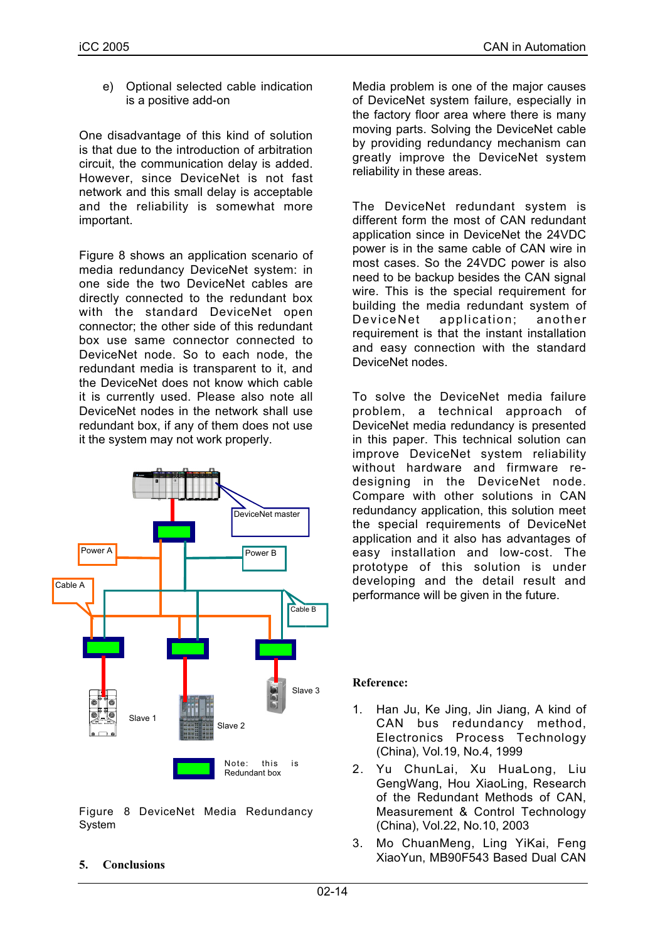e) Optional selected cable indication is a positive add-on

One disadvantage of this kind of solution is that due to the introduction of arbitration circuit, the communication delay is added. However, since DeviceNet is not fast network and this small delay is acceptable and the reliability is somewhat more important.

Figure 8 shows an application scenario of media redundancy DeviceNet system: in one side the two DeviceNet cables are directly connected to the redundant box with the standard DeviceNet open connector; the other side of this redundant box use same connector connected to DeviceNet node. So to each node, the redundant media is transparent to it, and the DeviceNet does not know which cable it is currently used. Please also note all DeviceNet nodes in the network shall use redundant box, if any of them does not use it the system may not work properly.



Figure 8 DeviceNet Media Redundancy System

**5. Conclusions**

Media problem is one of the major causes of DeviceNet system failure, especially in the factory floor area where there is many moving parts. Solving the DeviceNet cable by providing redundancy mechanism can greatly improve the DeviceNet system reliability in these areas.

The DeviceNet redundant system is different form the most of CAN redundant application since in DeviceNet the 24VDC power is in the same cable of CAN wire in most cases. So the 24VDC power is also need to be backup besides the CAN signal wire. This is the special requirement for building the media redundant system of DeviceNet application; another requirement is that the instant installation and easy connection with the standard DeviceNet nodes.

To solve the DeviceNet media failure problem, a technical approach of DeviceNet media redundancy is presented in this paper. This technical solution can improve DeviceNet system reliability without hardware and firmware redesigning in the DeviceNet node. Compare with other solutions in CAN redundancy application, this solution meet the special requirements of DeviceNet application and it also has advantages of easy installation and low-cost. The prototype of this solution is under developing and the detail result and performance will be given in the future.

# **Reference:**

- 1. Han Ju, Ke Jing, Jin Jiang, A kind of CAN bus redundancy method, Electronics Process Technology (China), Vol.19, No.4, 1999
- 2. Yu ChunLai, Xu HuaLong, Liu GengWang, Hou XiaoLing, Research of the Redundant Methods of CAN, Measurement & Control Technology (China), Vol.22, No.10, 2003
- 3. Mo ChuanMeng, Ling YiKai, Feng XiaoYun, MB90F543 Based Dual CAN